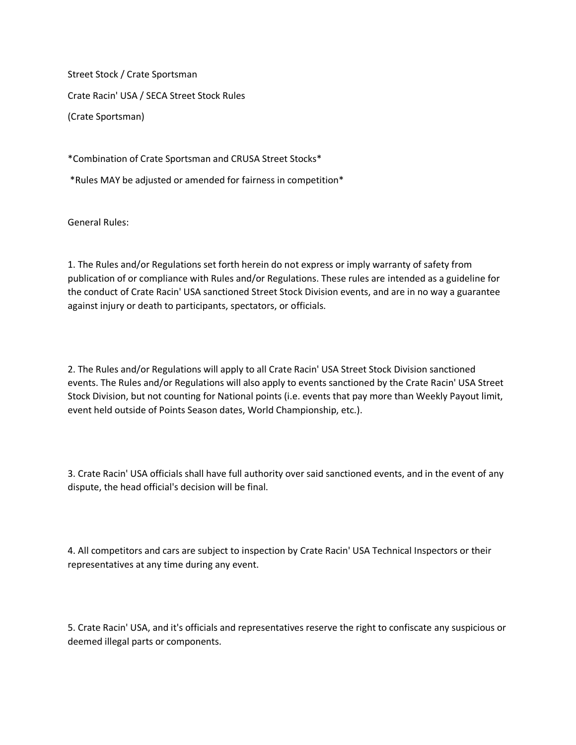Street Stock / Crate Sportsman Crate Racin' USA / SECA Street Stock Rules (Crate Sportsman)

\*Combination of Crate Sportsman and CRUSA Street Stocks\*

\*Rules MAY be adjusted or amended for fairness in competition\*

General Rules:

1. The Rules and/or Regulations set forth herein do not express or imply warranty of safety from publication of or compliance with Rules and/or Regulations. These rules are intended as a guideline for the conduct of Crate Racin' USA sanctioned Street Stock Division events, and are in no way a guarantee against injury or death to participants, spectators, or officials.

2. The Rules and/or Regulations will apply to all Crate Racin' USA Street Stock Division sanctioned events. The Rules and/or Regulations will also apply to events sanctioned by the Crate Racin' USA Street Stock Division, but not counting for National points (i.e. events that pay more than Weekly Payout limit, event held outside of Points Season dates, World Championship, etc.).

3. Crate Racin' USA officials shall have full authority over said sanctioned events, and in the event of any dispute, the head official's decision will be final.

4. All competitors and cars are subject to inspection by Crate Racin' USA Technical Inspectors or their representatives at any time during any event.

5. Crate Racin' USA, and it's officials and representatives reserve the right to confiscate any suspicious or deemed illegal parts or components.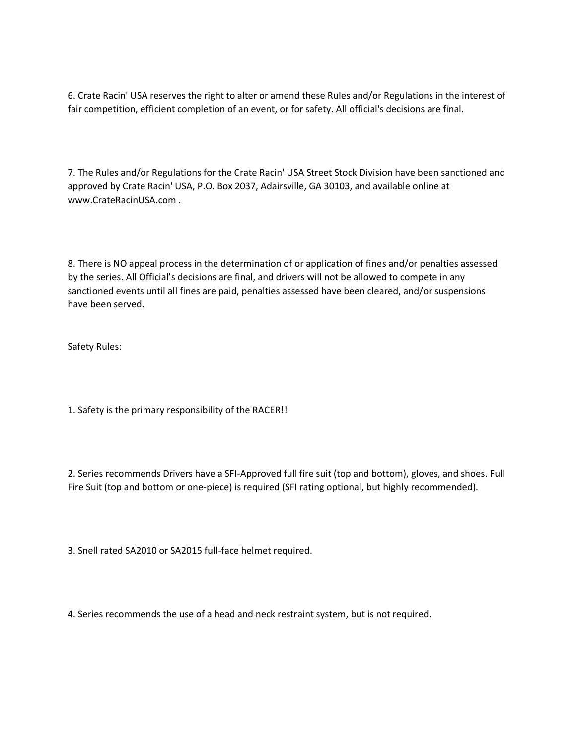6. Crate Racin' USA reserves the right to alter or amend these Rules and/or Regulations in the interest of fair competition, efficient completion of an event, or for safety. All official's decisions are final.

7. The Rules and/or Regulations for the Crate Racin' USA Street Stock Division have been sanctioned and approved by Crate Racin' USA, P.O. Box 2037, Adairsville, GA 30103, and available online at www.CrateRacinUSA.com .

8. There is NO appeal process in the determination of or application of fines and/or penalties assessed by the series. All Official's decisions are final, and drivers will not be allowed to compete in any sanctioned events until all fines are paid, penalties assessed have been cleared, and/or suspensions have been served.

Safety Rules:

1. Safety is the primary responsibility of the RACER!!

2. Series recommends Drivers have a SFI-Approved full fire suit (top and bottom), gloves, and shoes. Full Fire Suit (top and bottom or one-piece) is required (SFI rating optional, but highly recommended).

3. Snell rated SA2010 or SA2015 full-face helmet required.

4. Series recommends the use of a head and neck restraint system, but is not required.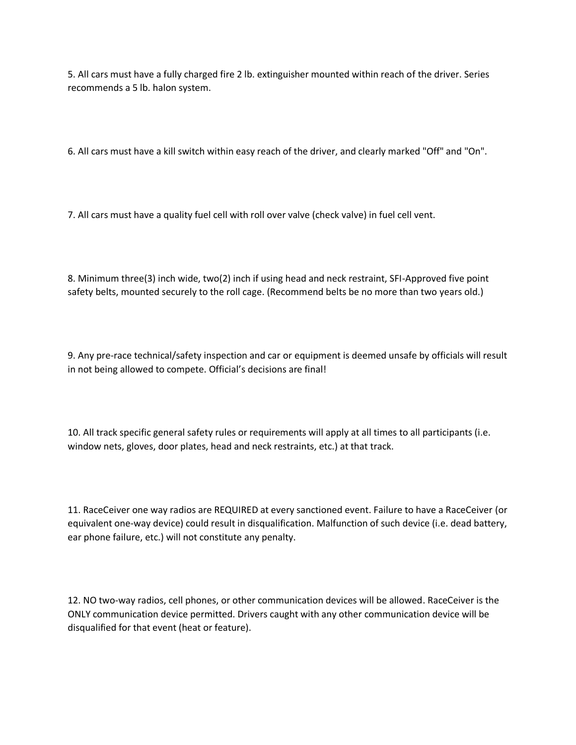5. All cars must have a fully charged fire 2 lb. extinguisher mounted within reach of the driver. Series recommends a 5 lb. halon system.

6. All cars must have a kill switch within easy reach of the driver, and clearly marked "Off" and "On".

7. All cars must have a quality fuel cell with roll over valve (check valve) in fuel cell vent.

8. Minimum three(3) inch wide, two(2) inch if using head and neck restraint, SFI-Approved five point safety belts, mounted securely to the roll cage. (Recommend belts be no more than two years old.)

9. Any pre-race technical/safety inspection and car or equipment is deemed unsafe by officials will result in not being allowed to compete. Official's decisions are final!

10. All track specific general safety rules or requirements will apply at all times to all participants (i.e. window nets, gloves, door plates, head and neck restraints, etc.) at that track.

11. RaceCeiver one way radios are REQUIRED at every sanctioned event. Failure to have a RaceCeiver (or equivalent one-way device) could result in disqualification. Malfunction of such device (i.e. dead battery, ear phone failure, etc.) will not constitute any penalty.

12. NO two-way radios, cell phones, or other communication devices will be allowed. RaceCeiver is the ONLY communication device permitted. Drivers caught with any other communication device will be disqualified for that event (heat or feature).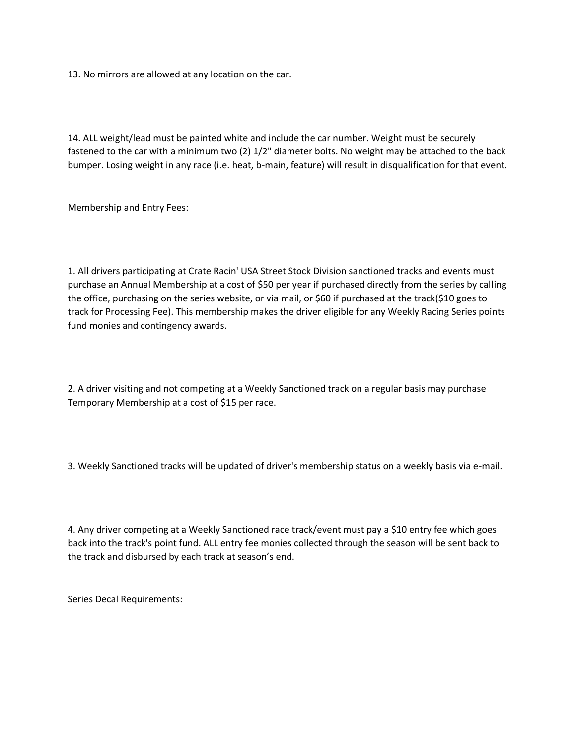13. No mirrors are allowed at any location on the car.

14. ALL weight/lead must be painted white and include the car number. Weight must be securely fastened to the car with a minimum two (2) 1/2" diameter bolts. No weight may be attached to the back bumper. Losing weight in any race (i.e. heat, b-main, feature) will result in disqualification for that event.

Membership and Entry Fees:

1. All drivers participating at Crate Racin' USA Street Stock Division sanctioned tracks and events must purchase an Annual Membership at a cost of \$50 per year if purchased directly from the series by calling the office, purchasing on the series website, or via mail, or \$60 if purchased at the track(\$10 goes to track for Processing Fee). This membership makes the driver eligible for any Weekly Racing Series points fund monies and contingency awards.

2. A driver visiting and not competing at a Weekly Sanctioned track on a regular basis may purchase Temporary Membership at a cost of \$15 per race.

3. Weekly Sanctioned tracks will be updated of driver's membership status on a weekly basis via e-mail.

4. Any driver competing at a Weekly Sanctioned race track/event must pay a \$10 entry fee which goes back into the track's point fund. ALL entry fee monies collected through the season will be sent back to the track and disbursed by each track at season's end.

Series Decal Requirements: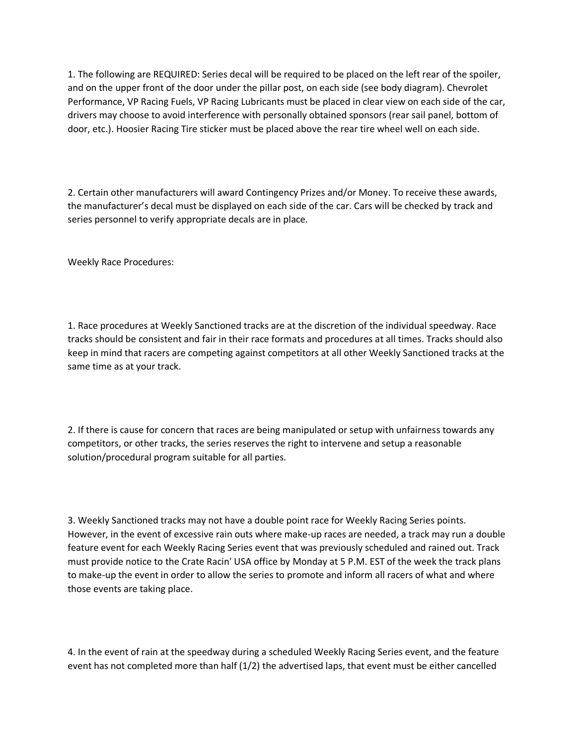1. The following are REQUIRED: Series decal will be required to be placed on the left rear of the spoiler, and on the upper front of the door under the pillar post, on each side (see body diagram). Chevrolet Performance, VP Racing Fuels, VP Racing Lubricants must be placed in clear view on each side of the car, drivers may choose to avoid interference with personally obtained sponsors (rear sail panel, bottom of door, etc.). Hoosier Racing Tire sticker must be placed above the rear tire wheel well on each side.

2. Certain other manufacturers will award Contingency Prizes and/or Money. To receive these awards, the manufacturer's decal must be displayed on each side of the car. Cars will be checked by track and series personnel to verify appropriate decals are in place.

Weekly Race Procedures:

1. Race procedures at Weekly Sanctioned tracks are at the discretion of the individual speedway. Race tracks should be consistent and fair in their race formats and procedures at all times. Tracks should also keep in mind that racers are competing against competitors at all other Weekly Sanctioned tracks at the same time as at your track.

2. If there is cause for concern that races are being manipulated or setup with unfairness towards any competitors, or other tracks, the series reserves the right to intervene and setup a reasonable solution/procedural program suitable for all parties.

3. Weekly Sanctioned tracks may not have a double point race for Weekly Racing Series points. However, in the event of excessive rain outs where make-up races are needed, a track may run a double feature event for each Weekly Racing Series event that was previously scheduled and rained out. Track must provide notice to the Crate Racin' USA office by Monday at 5 P.M. EST of the week the track plans to make-up the event in order to allow the series to promote and inform all racers of what and where those events are taking place.

4. In the event of rain at the speedway during a scheduled Weekly Racing Series event, and the feature event has not completed more than half (1/2) the advertised laps, that event must be either cancelled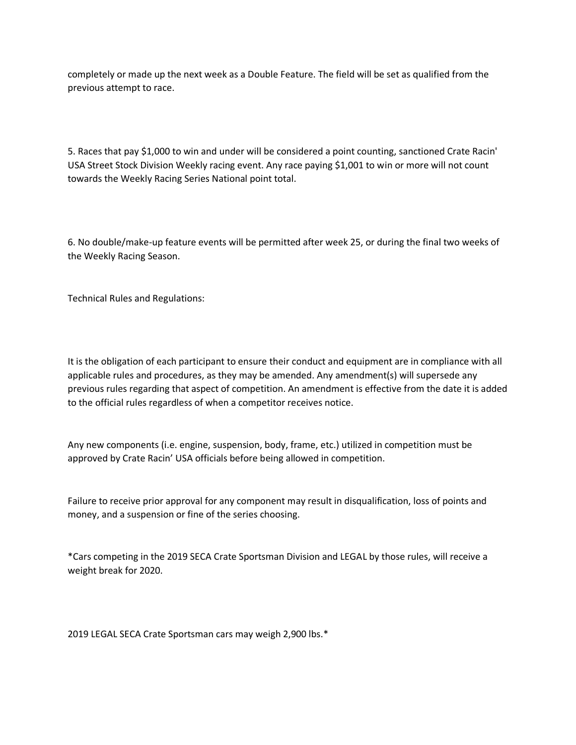completely or made up the next week as a Double Feature. The field will be set as qualified from the previous attempt to race.

5. Races that pay \$1,000 to win and under will be considered a point counting, sanctioned Crate Racin' USA Street Stock Division Weekly racing event. Any race paying \$1,001 to win or more will not count towards the Weekly Racing Series National point total.

6. No double/make-up feature events will be permitted after week 25, or during the final two weeks of the Weekly Racing Season.

Technical Rules and Regulations:

It is the obligation of each participant to ensure their conduct and equipment are in compliance with all applicable rules and procedures, as they may be amended. Any amendment(s) will supersede any previous rules regarding that aspect of competition. An amendment is effective from the date it is added to the official rules regardless of when a competitor receives notice.

Any new components (i.e. engine, suspension, body, frame, etc.) utilized in competition must be approved by Crate Racin' USA officials before being allowed in competition.

Failure to receive prior approval for any component may result in disqualification, loss of points and money, and a suspension or fine of the series choosing.

\*Cars competing in the 2019 SECA Crate Sportsman Division and LEGAL by those rules, will receive a weight break for 2020.

2019 LEGAL SECA Crate Sportsman cars may weigh 2,900 lbs.\*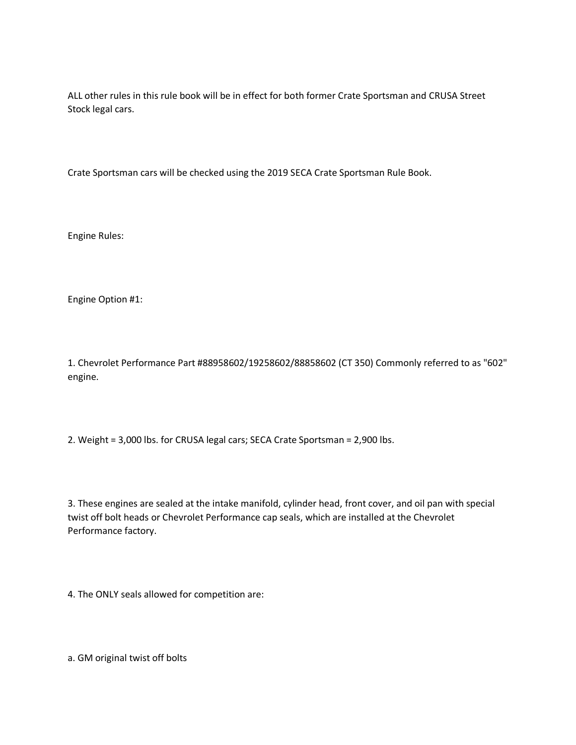ALL other rules in this rule book will be in effect for both former Crate Sportsman and CRUSA Street Stock legal cars.

Crate Sportsman cars will be checked using the 2019 SECA Crate Sportsman Rule Book.

Engine Rules:

Engine Option #1:

1. Chevrolet Performance Part #88958602/19258602/88858602 (CT 350) Commonly referred to as "602" engine.

2. Weight = 3,000 lbs. for CRUSA legal cars; SECA Crate Sportsman = 2,900 lbs.

3. These engines are sealed at the intake manifold, cylinder head, front cover, and oil pan with special twist off bolt heads or Chevrolet Performance cap seals, which are installed at the Chevrolet Performance factory.

4. The ONLY seals allowed for competition are:

a. GM original twist off bolts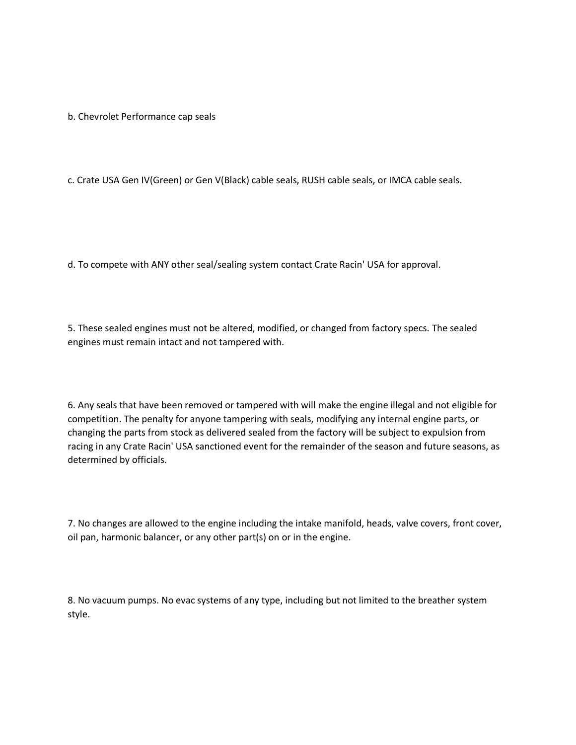b. Chevrolet Performance cap seals

c. Crate USA Gen IV(Green) or Gen V(Black) cable seals, RUSH cable seals, or IMCA cable seals.

d. To compete with ANY other seal/sealing system contact Crate Racin' USA for approval.

5. These sealed engines must not be altered, modified, or changed from factory specs. The sealed engines must remain intact and not tampered with.

6. Any seals that have been removed or tampered with will make the engine illegal and not eligible for competition. The penalty for anyone tampering with seals, modifying any internal engine parts, or changing the parts from stock as delivered sealed from the factory will be subject to expulsion from racing in any Crate Racin' USA sanctioned event for the remainder of the season and future seasons, as determined by officials.

7. No changes are allowed to the engine including the intake manifold, heads, valve covers, front cover, oil pan, harmonic balancer, or any other part(s) on or in the engine.

8. No vacuum pumps. No evac systems of any type, including but not limited to the breather system style.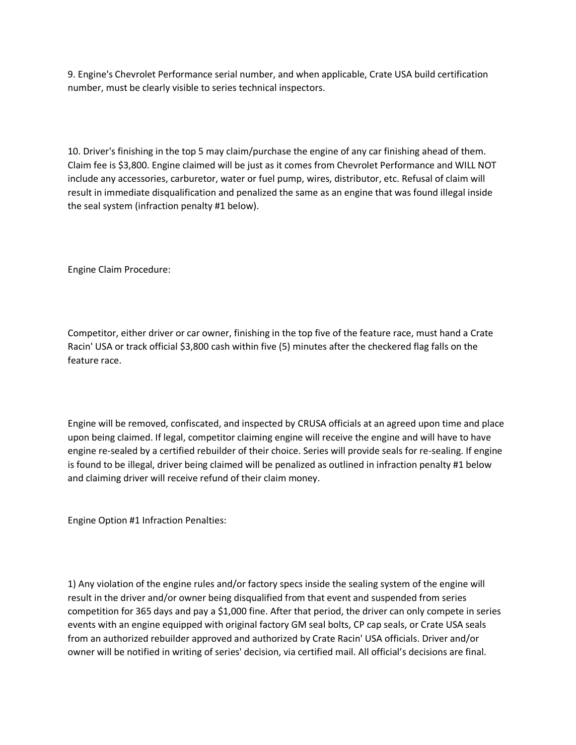9. Engine's Chevrolet Performance serial number, and when applicable, Crate USA build certification number, must be clearly visible to series technical inspectors.

10. Driver's finishing in the top 5 may claim/purchase the engine of any car finishing ahead of them. Claim fee is \$3,800. Engine claimed will be just as it comes from Chevrolet Performance and WILL NOT include any accessories, carburetor, water or fuel pump, wires, distributor, etc. Refusal of claim will result in immediate disqualification and penalized the same as an engine that was found illegal inside the seal system (infraction penalty #1 below).

Engine Claim Procedure:

Competitor, either driver or car owner, finishing in the top five of the feature race, must hand a Crate Racin' USA or track official \$3,800 cash within five (5) minutes after the checkered flag falls on the feature race.

Engine will be removed, confiscated, and inspected by CRUSA officials at an agreed upon time and place upon being claimed. If legal, competitor claiming engine will receive the engine and will have to have engine re-sealed by a certified rebuilder of their choice. Series will provide seals for re-sealing. If engine is found to be illegal, driver being claimed will be penalized as outlined in infraction penalty #1 below and claiming driver will receive refund of their claim money.

Engine Option #1 Infraction Penalties:

1) Any violation of the engine rules and/or factory specs inside the sealing system of the engine will result in the driver and/or owner being disqualified from that event and suspended from series competition for 365 days and pay a \$1,000 fine. After that period, the driver can only compete in series events with an engine equipped with original factory GM seal bolts, CP cap seals, or Crate USA seals from an authorized rebuilder approved and authorized by Crate Racin' USA officials. Driver and/or owner will be notified in writing of series' decision, via certified mail. All official's decisions are final.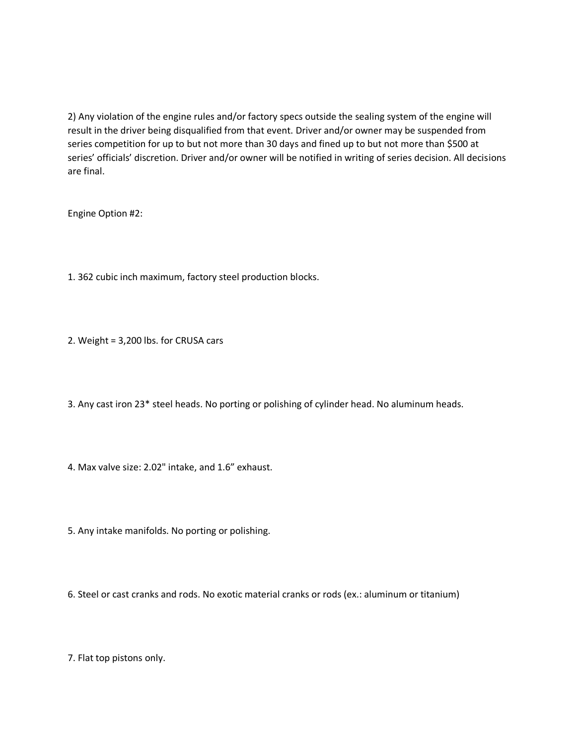2) Any violation of the engine rules and/or factory specs outside the sealing system of the engine will result in the driver being disqualified from that event. Driver and/or owner may be suspended from series competition for up to but not more than 30 days and fined up to but not more than \$500 at series' officials' discretion. Driver and/or owner will be notified in writing of series decision. All decisions are final.

Engine Option #2:

- 1. 362 cubic inch maximum, factory steel production blocks.
- 2. Weight = 3,200 lbs. for CRUSA cars
- 3. Any cast iron 23\* steel heads. No porting or polishing of cylinder head. No aluminum heads.
- 4. Max valve size: 2.02" intake, and 1.6" exhaust.
- 5. Any intake manifolds. No porting or polishing.
- 6. Steel or cast cranks and rods. No exotic material cranks or rods (ex.: aluminum or titanium)

7. Flat top pistons only.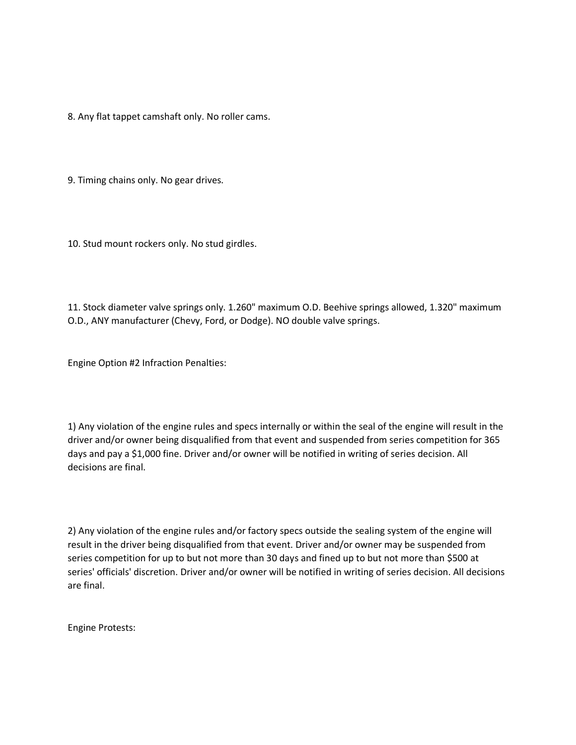8. Any flat tappet camshaft only. No roller cams.

9. Timing chains only. No gear drives.

10. Stud mount rockers only. No stud girdles.

11. Stock diameter valve springs only. 1.260" maximum O.D. Beehive springs allowed, 1.320" maximum O.D., ANY manufacturer (Chevy, Ford, or Dodge). NO double valve springs.

Engine Option #2 Infraction Penalties:

1) Any violation of the engine rules and specs internally or within the seal of the engine will result in the driver and/or owner being disqualified from that event and suspended from series competition for 365 days and pay a \$1,000 fine. Driver and/or owner will be notified in writing of series decision. All decisions are final.

2) Any violation of the engine rules and/or factory specs outside the sealing system of the engine will result in the driver being disqualified from that event. Driver and/or owner may be suspended from series competition for up to but not more than 30 days and fined up to but not more than \$500 at series' officials' discretion. Driver and/or owner will be notified in writing of series decision. All decisions are final.

Engine Protests: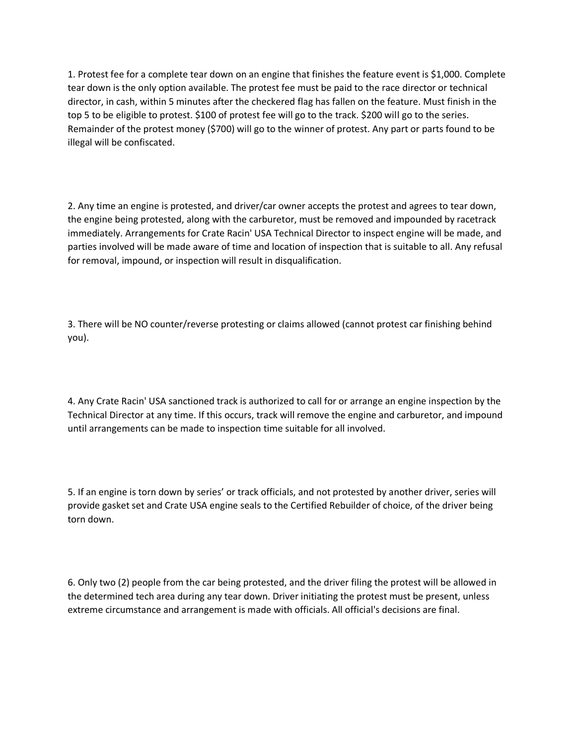1. Protest fee for a complete tear down on an engine that finishes the feature event is \$1,000. Complete tear down is the only option available. The protest fee must be paid to the race director or technical director, in cash, within 5 minutes after the checkered flag has fallen on the feature. Must finish in the top 5 to be eligible to protest. \$100 of protest fee will go to the track. \$200 will go to the series. Remainder of the protest money (\$700) will go to the winner of protest. Any part or parts found to be illegal will be confiscated.

2. Any time an engine is protested, and driver/car owner accepts the protest and agrees to tear down, the engine being protested, along with the carburetor, must be removed and impounded by racetrack immediately. Arrangements for Crate Racin' USA Technical Director to inspect engine will be made, and parties involved will be made aware of time and location of inspection that is suitable to all. Any refusal for removal, impound, or inspection will result in disqualification.

3. There will be NO counter/reverse protesting or claims allowed (cannot protest car finishing behind you).

4. Any Crate Racin' USA sanctioned track is authorized to call for or arrange an engine inspection by the Technical Director at any time. If this occurs, track will remove the engine and carburetor, and impound until arrangements can be made to inspection time suitable for all involved.

5. If an engine is torn down by series' or track officials, and not protested by another driver, series will provide gasket set and Crate USA engine seals to the Certified Rebuilder of choice, of the driver being torn down.

6. Only two (2) people from the car being protested, and the driver filing the protest will be allowed in the determined tech area during any tear down. Driver initiating the protest must be present, unless extreme circumstance and arrangement is made with officials. All official's decisions are final.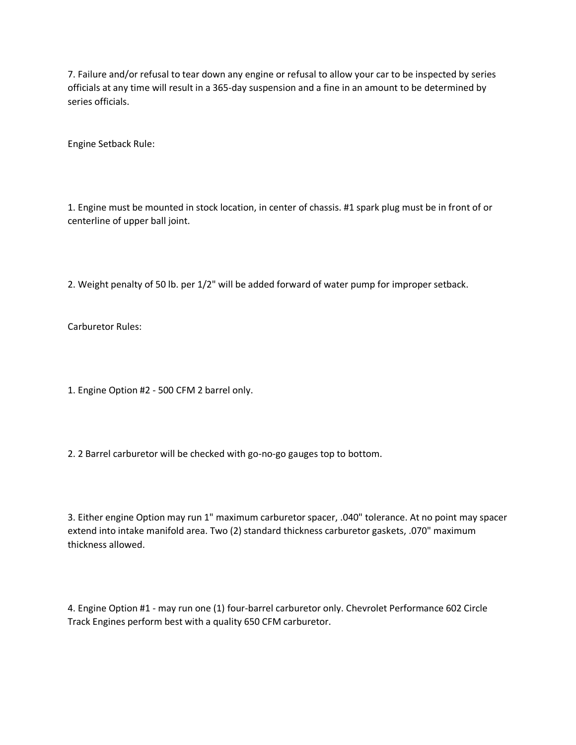7. Failure and/or refusal to tear down any engine or refusal to allow your car to be inspected by series officials at any time will result in a 365-day suspension and a fine in an amount to be determined by series officials.

Engine Setback Rule:

1. Engine must be mounted in stock location, in center of chassis. #1 spark plug must be in front of or centerline of upper ball joint.

2. Weight penalty of 50 lb. per 1/2" will be added forward of water pump for improper setback.

Carburetor Rules:

1. Engine Option #2 - 500 CFM 2 barrel only.

2. 2 Barrel carburetor will be checked with go-no-go gauges top to bottom.

3. Either engine Option may run 1" maximum carburetor spacer, .040" tolerance. At no point may spacer extend into intake manifold area. Two (2) standard thickness carburetor gaskets, .070" maximum thickness allowed.

4. Engine Option #1 - may run one (1) four-barrel carburetor only. Chevrolet Performance 602 Circle Track Engines perform best with a quality 650 CFM carburetor.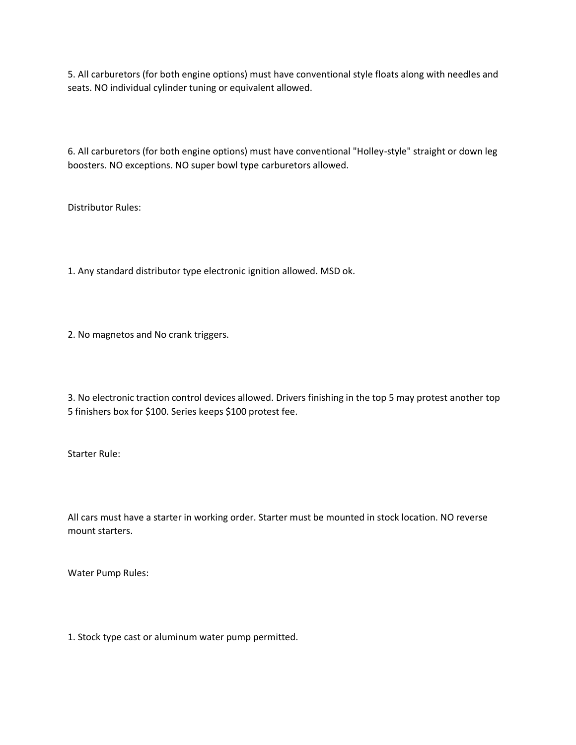5. All carburetors (for both engine options) must have conventional style floats along with needles and seats. NO individual cylinder tuning or equivalent allowed.

6. All carburetors (for both engine options) must have conventional "Holley-style" straight or down leg boosters. NO exceptions. NO super bowl type carburetors allowed.

Distributor Rules:

1. Any standard distributor type electronic ignition allowed. MSD ok.

2. No magnetos and No crank triggers.

3. No electronic traction control devices allowed. Drivers finishing in the top 5 may protest another top 5 finishers box for \$100. Series keeps \$100 protest fee.

Starter Rule:

All cars must have a starter in working order. Starter must be mounted in stock location. NO reverse mount starters.

Water Pump Rules:

1. Stock type cast or aluminum water pump permitted.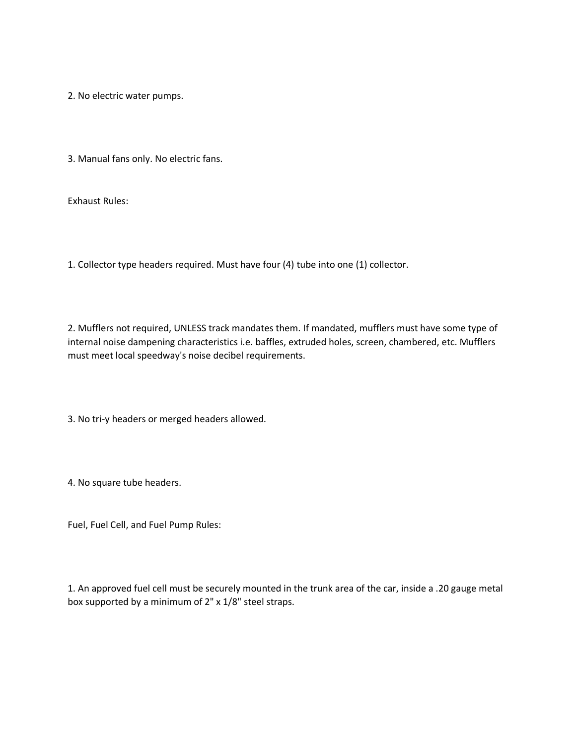2. No electric water pumps.

3. Manual fans only. No electric fans.

Exhaust Rules:

1. Collector type headers required. Must have four (4) tube into one (1) collector.

2. Mufflers not required, UNLESS track mandates them. If mandated, mufflers must have some type of internal noise dampening characteristics i.e. baffles, extruded holes, screen, chambered, etc. Mufflers must meet local speedway's noise decibel requirements.

3. No tri-y headers or merged headers allowed.

4. No square tube headers.

Fuel, Fuel Cell, and Fuel Pump Rules:

1. An approved fuel cell must be securely mounted in the trunk area of the car, inside a .20 gauge metal box supported by a minimum of 2" x 1/8" steel straps.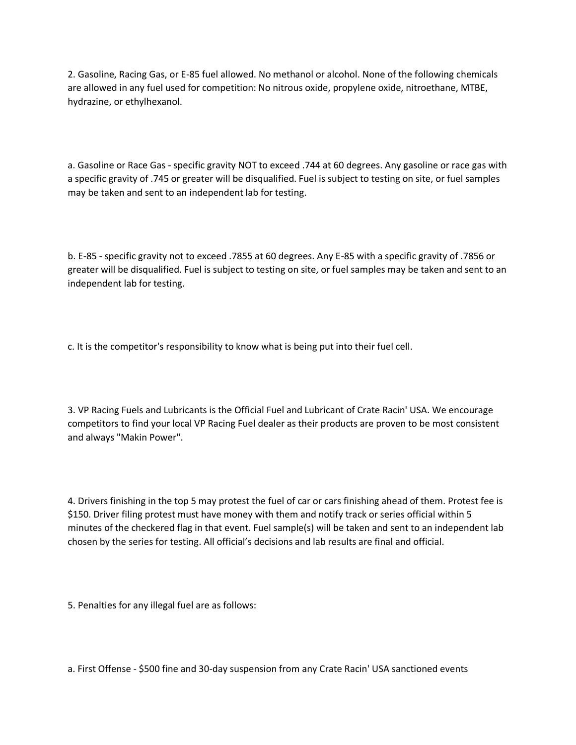2. Gasoline, Racing Gas, or E-85 fuel allowed. No methanol or alcohol. None of the following chemicals are allowed in any fuel used for competition: No nitrous oxide, propylene oxide, nitroethane, MTBE, hydrazine, or ethylhexanol.

a. Gasoline or Race Gas - specific gravity NOT to exceed .744 at 60 degrees. Any gasoline or race gas with a specific gravity of .745 or greater will be disqualified. Fuel is subject to testing on site, or fuel samples may be taken and sent to an independent lab for testing.

b. E-85 - specific gravity not to exceed .7855 at 60 degrees. Any E-85 with a specific gravity of .7856 or greater will be disqualified. Fuel is subject to testing on site, or fuel samples may be taken and sent to an independent lab for testing.

c. It is the competitor's responsibility to know what is being put into their fuel cell.

3. VP Racing Fuels and Lubricants is the Official Fuel and Lubricant of Crate Racin' USA. We encourage competitors to find your local VP Racing Fuel dealer as their products are proven to be most consistent and always "Makin Power".

4. Drivers finishing in the top 5 may protest the fuel of car or cars finishing ahead of them. Protest fee is \$150. Driver filing protest must have money with them and notify track or series official within 5 minutes of the checkered flag in that event. Fuel sample(s) will be taken and sent to an independent lab chosen by the series for testing. All official's decisions and lab results are final and official.

5. Penalties for any illegal fuel are as follows:

a. First Offense - \$500 fine and 30-day suspension from any Crate Racin' USA sanctioned events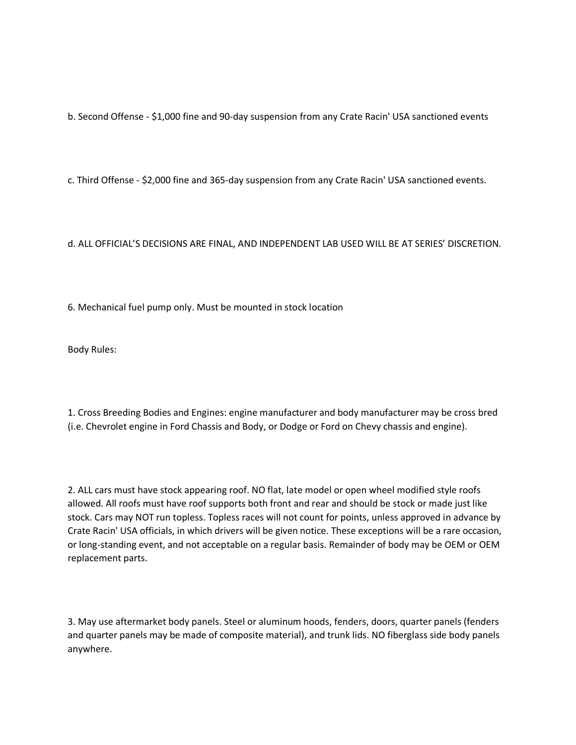b. Second Offense - \$1,000 fine and 90-day suspension from any Crate Racin' USA sanctioned events

c. Third Offense - \$2,000 fine and 365-day suspension from any Crate Racin' USA sanctioned events.

## d. ALL OFFICIAL'S DECISIONS ARE FINAL, AND INDEPENDENT LAB USED WILL BE AT SERIES' DISCRETION.

6. Mechanical fuel pump only. Must be mounted in stock location

Body Rules:

1. Cross Breeding Bodies and Engines: engine manufacturer and body manufacturer may be cross bred (i.e. Chevrolet engine in Ford Chassis and Body, or Dodge or Ford on Chevy chassis and engine).

2. ALL cars must have stock appearing roof. NO flat, late model or open wheel modified style roofs allowed. All roofs must have roof supports both front and rear and should be stock or made just like stock. Cars may NOT run topless. Topless races will not count for points, unless approved in advance by Crate Racin' USA officials, in which drivers will be given notice. These exceptions will be a rare occasion, or long-standing event, and not acceptable on a regular basis. Remainder of body may be OEM or OEM replacement parts.

3. May use aftermarket body panels. Steel or aluminum hoods, fenders, doors, quarter panels (fenders and quarter panels may be made of composite material), and trunk lids. NO fiberglass side body panels anywhere.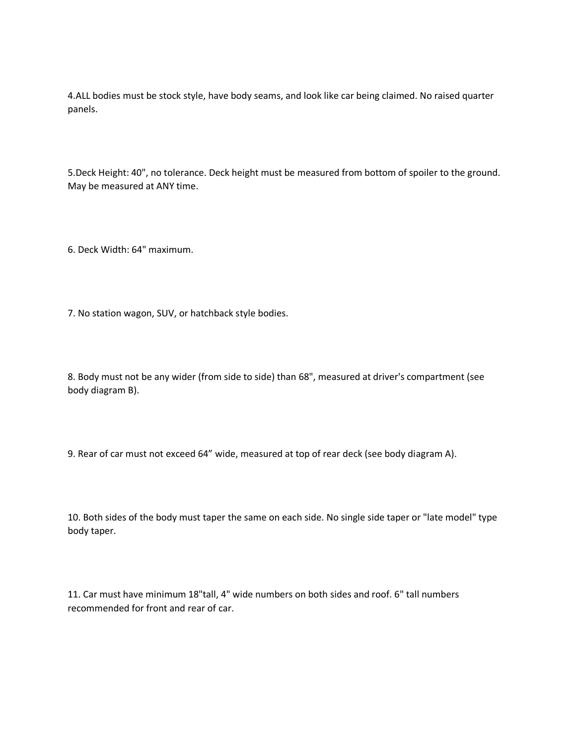4.ALL bodies must be stock style, have body seams, and look like car being claimed. No raised quarter panels.

5.Deck Height: 40", no tolerance. Deck height must be measured from bottom of spoiler to the ground. May be measured at ANY time.

6. Deck Width: 64" maximum.

7. No station wagon, SUV, or hatchback style bodies.

8. Body must not be any wider (from side to side) than 68", measured at driver's compartment (see body diagram B).

9. Rear of car must not exceed 64" wide, measured at top of rear deck (see body diagram A).

10. Both sides of the body must taper the same on each side. No single side taper or "late model" type body taper.

11. Car must have minimum 18"tall, 4" wide numbers on both sides and roof. 6" tall numbers recommended for front and rear of car.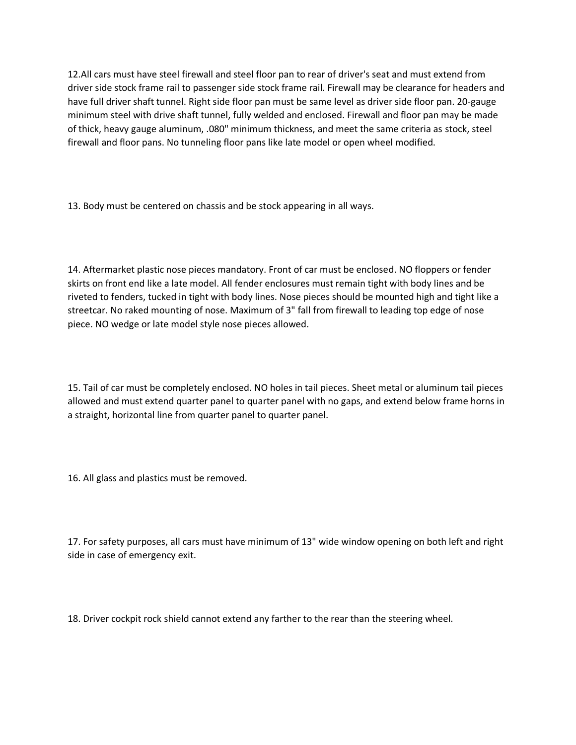12.All cars must have steel firewall and steel floor pan to rear of driver's seat and must extend from driver side stock frame rail to passenger side stock frame rail. Firewall may be clearance for headers and have full driver shaft tunnel. Right side floor pan must be same level as driver side floor pan. 20-gauge minimum steel with drive shaft tunnel, fully welded and enclosed. Firewall and floor pan may be made of thick, heavy gauge aluminum, .080" minimum thickness, and meet the same criteria as stock, steel firewall and floor pans. No tunneling floor pans like late model or open wheel modified.

13. Body must be centered on chassis and be stock appearing in all ways.

14. Aftermarket plastic nose pieces mandatory. Front of car must be enclosed. NO floppers or fender skirts on front end like a late model. All fender enclosures must remain tight with body lines and be riveted to fenders, tucked in tight with body lines. Nose pieces should be mounted high and tight like a streetcar. No raked mounting of nose. Maximum of 3" fall from firewall to leading top edge of nose piece. NO wedge or late model style nose pieces allowed.

15. Tail of car must be completely enclosed. NO holes in tail pieces. Sheet metal or aluminum tail pieces allowed and must extend quarter panel to quarter panel with no gaps, and extend below frame horns in a straight, horizontal line from quarter panel to quarter panel.

16. All glass and plastics must be removed.

17. For safety purposes, all cars must have minimum of 13" wide window opening on both left and right side in case of emergency exit.

18. Driver cockpit rock shield cannot extend any farther to the rear than the steering wheel.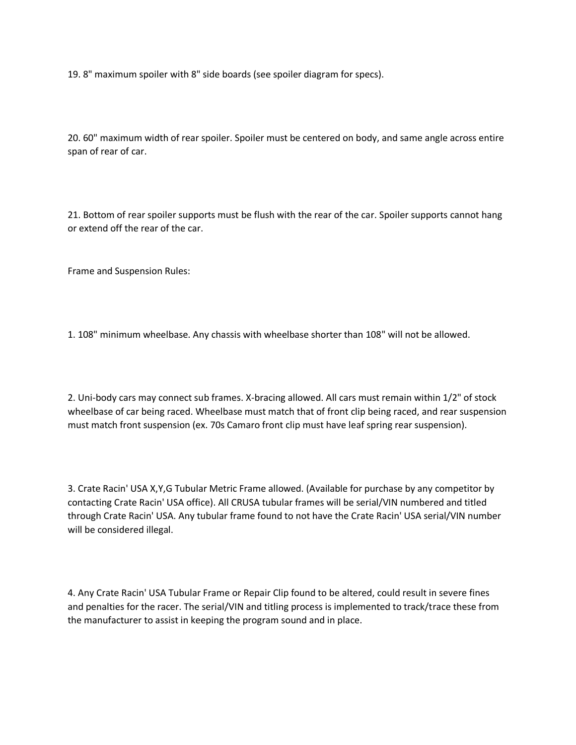19. 8" maximum spoiler with 8" side boards (see spoiler diagram for specs).

20. 60" maximum width of rear spoiler. Spoiler must be centered on body, and same angle across entire span of rear of car.

21. Bottom of rear spoiler supports must be flush with the rear of the car. Spoiler supports cannot hang or extend off the rear of the car.

Frame and Suspension Rules:

1. 108" minimum wheelbase. Any chassis with wheelbase shorter than 108" will not be allowed.

2. Uni-body cars may connect sub frames. X-bracing allowed. All cars must remain within 1/2" of stock wheelbase of car being raced. Wheelbase must match that of front clip being raced, and rear suspension must match front suspension (ex. 70s Camaro front clip must have leaf spring rear suspension).

3. Crate Racin' USA X,Y,G Tubular Metric Frame allowed. (Available for purchase by any competitor by contacting Crate Racin' USA office). All CRUSA tubular frames will be serial/VIN numbered and titled through Crate Racin' USA. Any tubular frame found to not have the Crate Racin' USA serial/VIN number will be considered illegal.

4. Any Crate Racin' USA Tubular Frame or Repair Clip found to be altered, could result in severe fines and penalties for the racer. The serial/VIN and titling process is implemented to track/trace these from the manufacturer to assist in keeping the program sound and in place.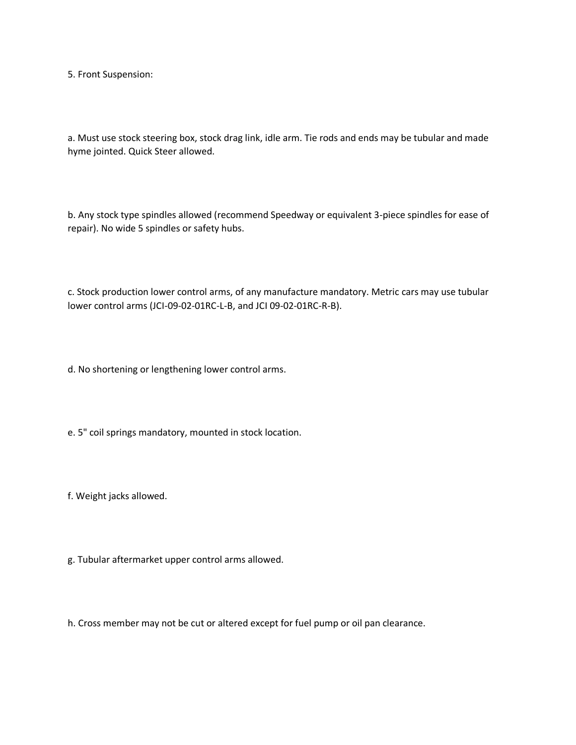5. Front Suspension:

a. Must use stock steering box, stock drag link, idle arm. Tie rods and ends may be tubular and made hyme jointed. Quick Steer allowed.

b. Any stock type spindles allowed (recommend Speedway or equivalent 3-piece spindles for ease of repair). No wide 5 spindles or safety hubs.

c. Stock production lower control arms, of any manufacture mandatory. Metric cars may use tubular lower control arms (JCI-09-02-01RC-L-B, and JCI 09-02-01RC-R-B).

d. No shortening or lengthening lower control arms.

e. 5" coil springs mandatory, mounted in stock location.

f. Weight jacks allowed.

g. Tubular aftermarket upper control arms allowed.

h. Cross member may not be cut or altered except for fuel pump or oil pan clearance.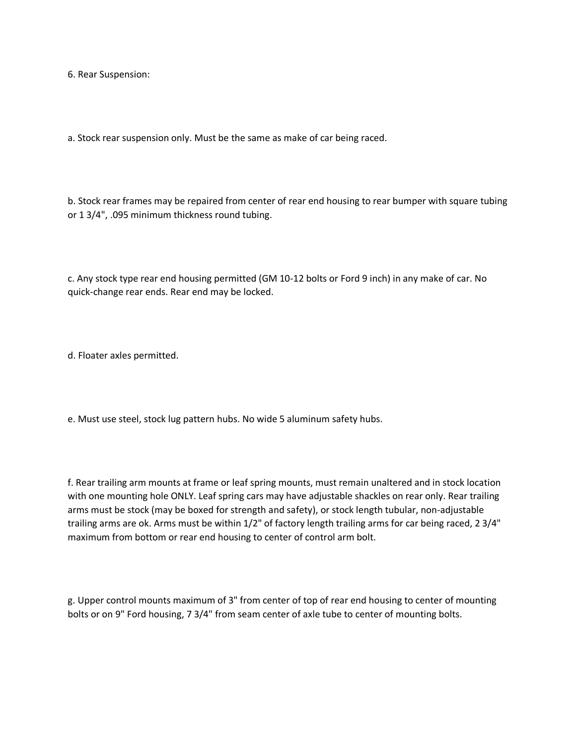6. Rear Suspension:

a. Stock rear suspension only. Must be the same as make of car being raced.

b. Stock rear frames may be repaired from center of rear end housing to rear bumper with square tubing or 1 3/4", .095 minimum thickness round tubing.

c. Any stock type rear end housing permitted (GM 10-12 bolts or Ford 9 inch) in any make of car. No quick-change rear ends. Rear end may be locked.

d. Floater axles permitted.

e. Must use steel, stock lug pattern hubs. No wide 5 aluminum safety hubs.

f. Rear trailing arm mounts at frame or leaf spring mounts, must remain unaltered and in stock location with one mounting hole ONLY. Leaf spring cars may have adjustable shackles on rear only. Rear trailing arms must be stock (may be boxed for strength and safety), or stock length tubular, non-adjustable trailing arms are ok. Arms must be within 1/2" of factory length trailing arms for car being raced, 2 3/4" maximum from bottom or rear end housing to center of control arm bolt.

g. Upper control mounts maximum of 3" from center of top of rear end housing to center of mounting bolts or on 9" Ford housing, 7 3/4" from seam center of axle tube to center of mounting bolts.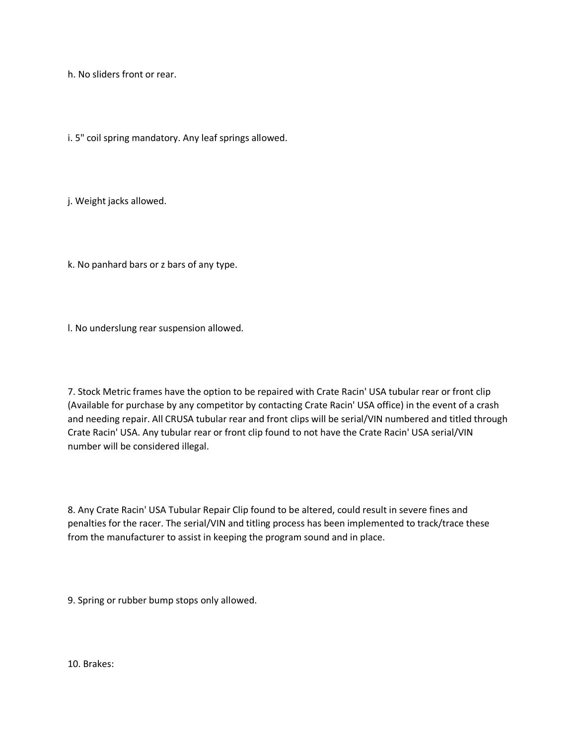h. No sliders front or rear.

i. 5" coil spring mandatory. Any leaf springs allowed.

j. Weight jacks allowed.

k. No panhard bars or z bars of any type.

l. No underslung rear suspension allowed.

7. Stock Metric frames have the option to be repaired with Crate Racin' USA tubular rear or front clip (Available for purchase by any competitor by contacting Crate Racin' USA office) in the event of a crash and needing repair. All CRUSA tubular rear and front clips will be serial/VIN numbered and titled through Crate Racin' USA. Any tubular rear or front clip found to not have the Crate Racin' USA serial/VIN number will be considered illegal.

8. Any Crate Racin' USA Tubular Repair Clip found to be altered, could result in severe fines and penalties for the racer. The serial/VIN and titling process has been implemented to track/trace these from the manufacturer to assist in keeping the program sound and in place.

9. Spring or rubber bump stops only allowed.

10. Brakes: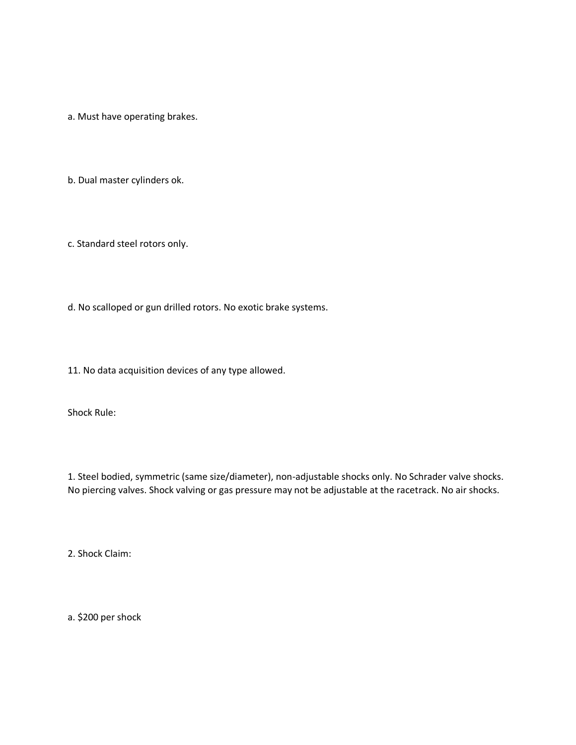a. Must have operating brakes.

b. Dual master cylinders ok.

c. Standard steel rotors only.

d. No scalloped or gun drilled rotors. No exotic brake systems.

11. No data acquisition devices of any type allowed.

Shock Rule:

1. Steel bodied, symmetric (same size/diameter), non-adjustable shocks only. No Schrader valve shocks. No piercing valves. Shock valving or gas pressure may not be adjustable at the racetrack. No air shocks.

2. Shock Claim:

a. \$200 per shock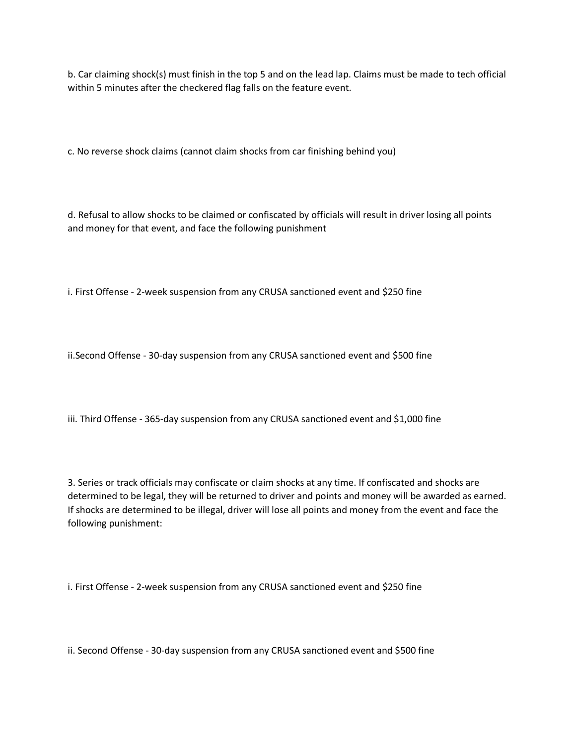b. Car claiming shock(s) must finish in the top 5 and on the lead lap. Claims must be made to tech official within 5 minutes after the checkered flag falls on the feature event.

c. No reverse shock claims (cannot claim shocks from car finishing behind you)

d. Refusal to allow shocks to be claimed or confiscated by officials will result in driver losing all points and money for that event, and face the following punishment

i. First Offense - 2-week suspension from any CRUSA sanctioned event and \$250 fine

ii.Second Offense - 30-day suspension from any CRUSA sanctioned event and \$500 fine

iii. Third Offense - 365-day suspension from any CRUSA sanctioned event and \$1,000 fine

3. Series or track officials may confiscate or claim shocks at any time. If confiscated and shocks are determined to be legal, they will be returned to driver and points and money will be awarded as earned. If shocks are determined to be illegal, driver will lose all points and money from the event and face the following punishment:

i. First Offense - 2-week suspension from any CRUSA sanctioned event and \$250 fine

ii. Second Offense - 30-day suspension from any CRUSA sanctioned event and \$500 fine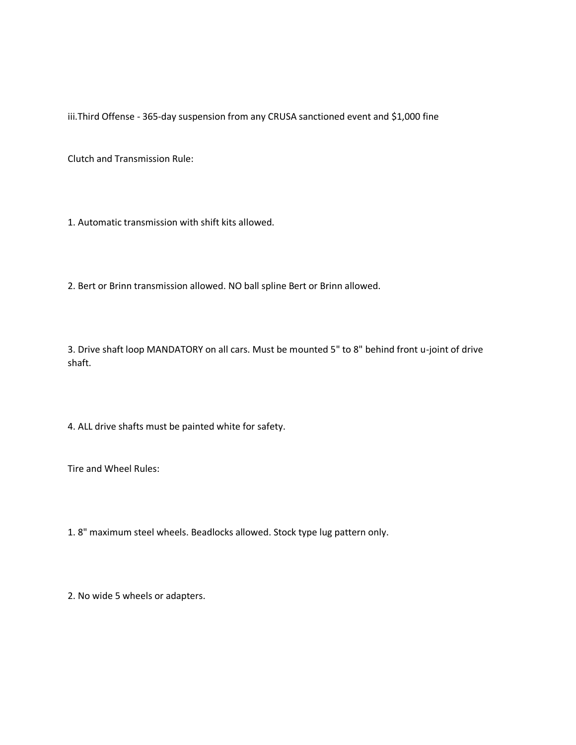iii.Third Offense - 365-day suspension from any CRUSA sanctioned event and \$1,000 fine

Clutch and Transmission Rule:

1. Automatic transmission with shift kits allowed.

2. Bert or Brinn transmission allowed. NO ball spline Bert or Brinn allowed.

3. Drive shaft loop MANDATORY on all cars. Must be mounted 5" to 8" behind front u-joint of drive shaft.

4. ALL drive shafts must be painted white for safety.

Tire and Wheel Rules:

1. 8" maximum steel wheels. Beadlocks allowed. Stock type lug pattern only.

2. No wide 5 wheels or adapters.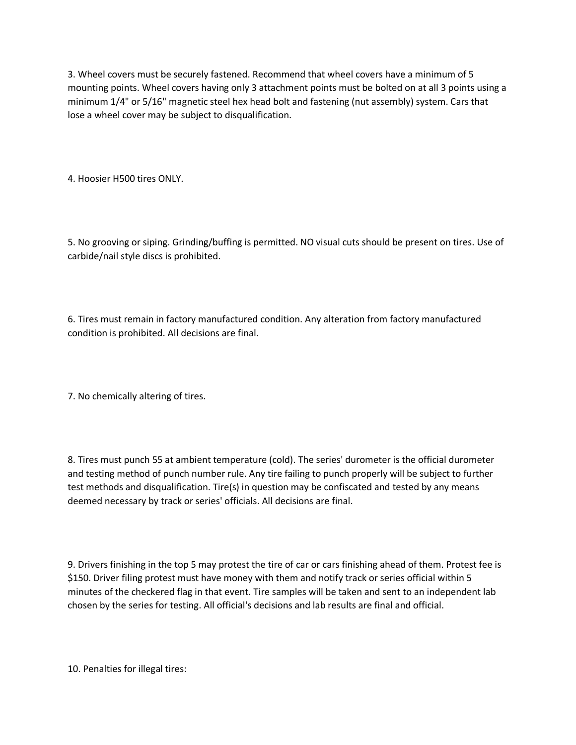3. Wheel covers must be securely fastened. Recommend that wheel covers have a minimum of 5 mounting points. Wheel covers having only 3 attachment points must be bolted on at all 3 points using a minimum 1/4" or 5/16" magnetic steel hex head bolt and fastening (nut assembly) system. Cars that lose a wheel cover may be subject to disqualification.

4. Hoosier H500 tires ONLY.

5. No grooving or siping. Grinding/buffing is permitted. NO visual cuts should be present on tires. Use of carbide/nail style discs is prohibited.

6. Tires must remain in factory manufactured condition. Any alteration from factory manufactured condition is prohibited. All decisions are final.

7. No chemically altering of tires.

8. Tires must punch 55 at ambient temperature (cold). The series' durometer is the official durometer and testing method of punch number rule. Any tire failing to punch properly will be subject to further test methods and disqualification. Tire(s) in question may be confiscated and tested by any means deemed necessary by track or series' officials. All decisions are final.

9. Drivers finishing in the top 5 may protest the tire of car or cars finishing ahead of them. Protest fee is \$150. Driver filing protest must have money with them and notify track or series official within 5 minutes of the checkered flag in that event. Tire samples will be taken and sent to an independent lab chosen by the series for testing. All official's decisions and lab results are final and official.

10. Penalties for illegal tires: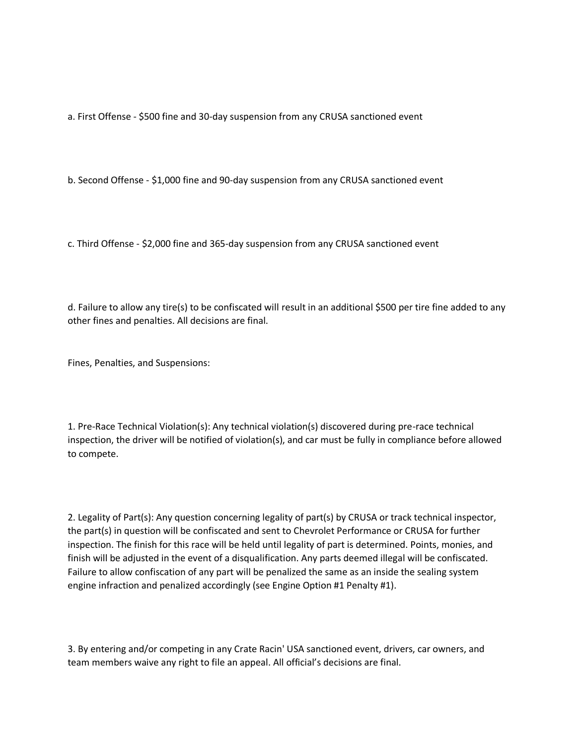a. First Offense - \$500 fine and 30-day suspension from any CRUSA sanctioned event

b. Second Offense - \$1,000 fine and 90-day suspension from any CRUSA sanctioned event

c. Third Offense - \$2,000 fine and 365-day suspension from any CRUSA sanctioned event

d. Failure to allow any tire(s) to be confiscated will result in an additional \$500 per tire fine added to any other fines and penalties. All decisions are final.

Fines, Penalties, and Suspensions:

1. Pre-Race Technical Violation(s): Any technical violation(s) discovered during pre-race technical inspection, the driver will be notified of violation(s), and car must be fully in compliance before allowed to compete.

2. Legality of Part(s): Any question concerning legality of part(s) by CRUSA or track technical inspector, the part(s) in question will be confiscated and sent to Chevrolet Performance or CRUSA for further inspection. The finish for this race will be held until legality of part is determined. Points, monies, and finish will be adjusted in the event of a disqualification. Any parts deemed illegal will be confiscated. Failure to allow confiscation of any part will be penalized the same as an inside the sealing system engine infraction and penalized accordingly (see Engine Option #1 Penalty #1).

3. By entering and/or competing in any Crate Racin' USA sanctioned event, drivers, car owners, and team members waive any right to file an appeal. All official's decisions are final.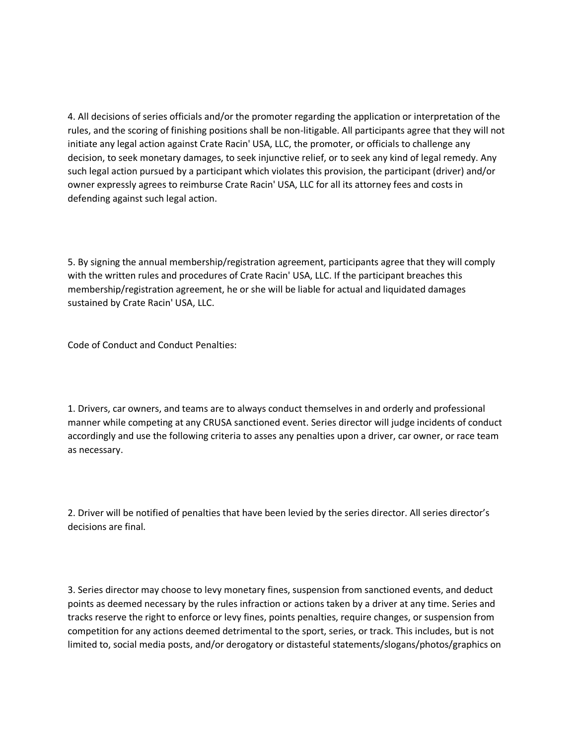4. All decisions of series officials and/or the promoter regarding the application or interpretation of the rules, and the scoring of finishing positions shall be non-litigable. All participants agree that they will not initiate any legal action against Crate Racin' USA, LLC, the promoter, or officials to challenge any decision, to seek monetary damages, to seek injunctive relief, or to seek any kind of legal remedy. Any such legal action pursued by a participant which violates this provision, the participant (driver) and/or owner expressly agrees to reimburse Crate Racin' USA, LLC for all its attorney fees and costs in defending against such legal action.

5. By signing the annual membership/registration agreement, participants agree that they will comply with the written rules and procedures of Crate Racin' USA, LLC. If the participant breaches this membership/registration agreement, he or she will be liable for actual and liquidated damages sustained by Crate Racin' USA, LLC.

Code of Conduct and Conduct Penalties:

1. Drivers, car owners, and teams are to always conduct themselves in and orderly and professional manner while competing at any CRUSA sanctioned event. Series director will judge incidents of conduct accordingly and use the following criteria to asses any penalties upon a driver, car owner, or race team as necessary.

2. Driver will be notified of penalties that have been levied by the series director. All series director's decisions are final.

3. Series director may choose to levy monetary fines, suspension from sanctioned events, and deduct points as deemed necessary by the rules infraction or actions taken by a driver at any time. Series and tracks reserve the right to enforce or levy fines, points penalties, require changes, or suspension from competition for any actions deemed detrimental to the sport, series, or track. This includes, but is not limited to, social media posts, and/or derogatory or distasteful statements/slogans/photos/graphics on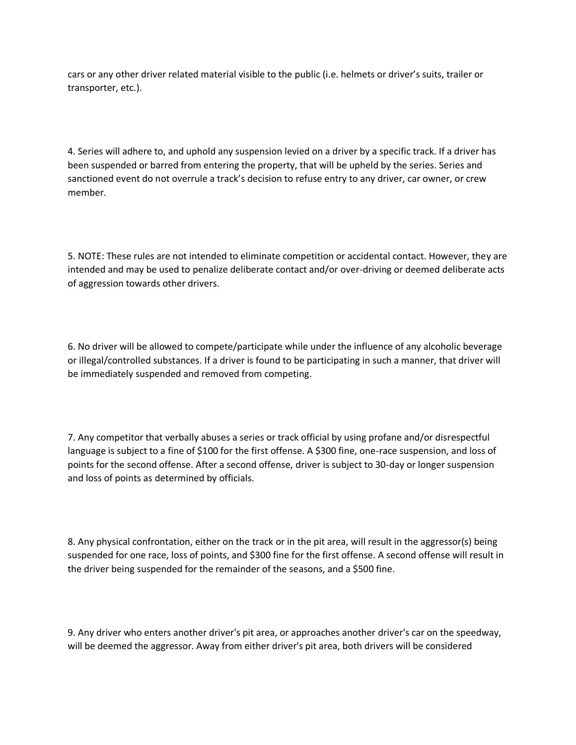cars or any other driver related material visible to the public (i.e. helmets or driver's suits, trailer or transporter, etc.).

4. Series will adhere to, and uphold any suspension levied on a driver by a specific track. If a driver has been suspended or barred from entering the property, that will be upheld by the series. Series and sanctioned event do not overrule a track's decision to refuse entry to any driver, car owner, or crew member.

5. NOTE: These rules are not intended to eliminate competition or accidental contact. However, they are intended and may be used to penalize deliberate contact and/or over-driving or deemed deliberate acts of aggression towards other drivers.

6. No driver will be allowed to compete/participate while under the influence of any alcoholic beverage or illegal/controlled substances. If a driver is found to be participating in such a manner, that driver will be immediately suspended and removed from competing.

7. Any competitor that verbally abuses a series or track official by using profane and/or disrespectful language is subject to a fine of \$100 for the first offense. A \$300 fine, one-race suspension, and loss of points for the second offense. After a second offense, driver is subject to 30-day or longer suspension and loss of points as determined by officials.

8. Any physical confrontation, either on the track or in the pit area, will result in the aggressor(s) being suspended for one race, loss of points, and \$300 fine for the first offense. A second offense will result in the driver being suspended for the remainder of the seasons, and a \$500 fine.

9. Any driver who enters another driver's pit area, or approaches another driver's car on the speedway, will be deemed the aggressor. Away from either driver's pit area, both drivers will be considered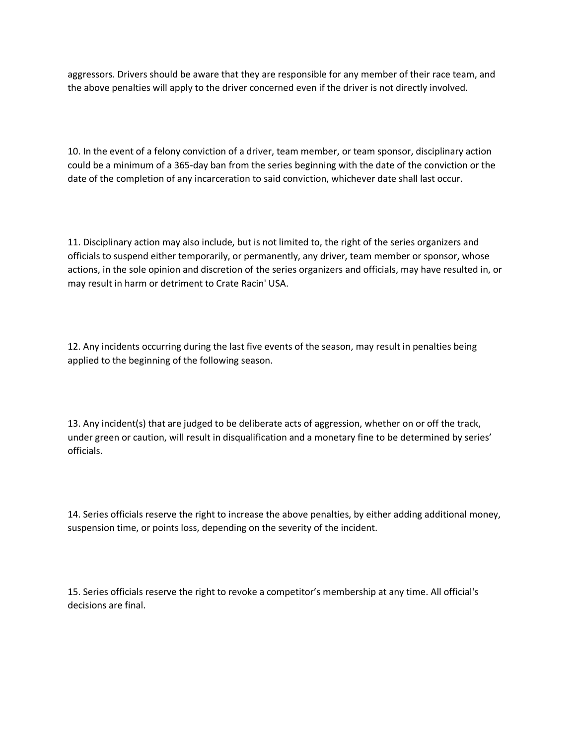aggressors. Drivers should be aware that they are responsible for any member of their race team, and the above penalties will apply to the driver concerned even if the driver is not directly involved.

10. In the event of a felony conviction of a driver, team member, or team sponsor, disciplinary action could be a minimum of a 365-day ban from the series beginning with the date of the conviction or the date of the completion of any incarceration to said conviction, whichever date shall last occur.

11. Disciplinary action may also include, but is not limited to, the right of the series organizers and officials to suspend either temporarily, or permanently, any driver, team member or sponsor, whose actions, in the sole opinion and discretion of the series organizers and officials, may have resulted in, or may result in harm or detriment to Crate Racin' USA.

12. Any incidents occurring during the last five events of the season, may result in penalties being applied to the beginning of the following season.

13. Any incident(s) that are judged to be deliberate acts of aggression, whether on or off the track, under green or caution, will result in disqualification and a monetary fine to be determined by series' officials.

14. Series officials reserve the right to increase the above penalties, by either adding additional money, suspension time, or points loss, depending on the severity of the incident.

15. Series officials reserve the right to revoke a competitor's membership at any time. All official's decisions are final.